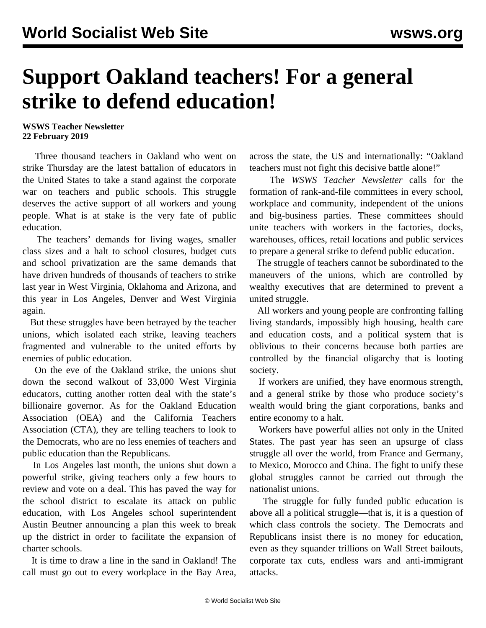## **Support Oakland teachers! For a general strike to defend education!**

## **WSWS Teacher Newsletter 22 February 2019**

 Three thousand teachers in Oakland who went on strike Thursday are the latest battalion of educators in the United States to take a stand against the corporate war on teachers and public schools. This struggle deserves the active support of all workers and young people. What is at stake is the very fate of public education.

 The teachers' demands for living wages, smaller class sizes and a halt to school closures, budget cuts and school privatization are the same demands that have driven hundreds of thousands of teachers to strike last year in West Virginia, Oklahoma and Arizona, and this year in Los Angeles, Denver and West Virginia again.

 But these struggles have been betrayed by the teacher unions, which isolated each strike, leaving teachers fragmented and vulnerable to the united efforts by enemies of public education.

 On the eve of the Oakland strike, the unions shut down the second walkout of 33,000 West Virginia educators, cutting another rotten deal with the state's billionaire governor. As for the Oakland Education Association (OEA) and the California Teachers Association (CTA), they are telling teachers to look to the Democrats, who are no less enemies of teachers and public education than the Republicans.

 In Los Angeles last month, the unions shut down a powerful strike, giving teachers only a few hours to review and vote on a deal. This has paved the way for the school district to escalate its attack on public education, with Los Angeles school superintendent Austin Beutner announcing a plan this week to break up the district in order to facilitate the expansion of charter schools.

 It is time to draw a line in the sand in Oakland! The call must go out to every workplace in the Bay Area,

across the state, the US and internationally: "Oakland teachers must not fight this decisive battle alone!"

 The *WSWS Teacher Newsletter* calls for the formation of rank-and-file committees in every school, workplace and community, independent of the unions and big-business parties. These committees should unite teachers with workers in the factories, docks, warehouses, offices, retail locations and public services to prepare a general strike to defend public education.

 The struggle of teachers cannot be subordinated to the maneuvers of the unions, which are controlled by wealthy executives that are determined to prevent a united struggle.

 All workers and young people are confronting falling living standards, impossibly high housing, health care and education costs, and a political system that is oblivious to their concerns because both parties are controlled by the financial oligarchy that is looting society.

 If workers are unified, they have enormous strength, and a general strike by those who produce society's wealth would bring the giant corporations, banks and entire economy to a halt.

 Workers have powerful allies not only in the United States. The past year has seen an upsurge of class struggle all over the world, from France and Germany, to Mexico, Morocco and China. The fight to unify these global struggles cannot be carried out through the nationalist unions.

 The struggle for fully funded public education is above all a political struggle—that is, it is a question of which class controls the society. The Democrats and Republicans insist there is no money for education, even as they squander trillions on Wall Street bailouts, corporate tax cuts, endless wars and anti-immigrant attacks.